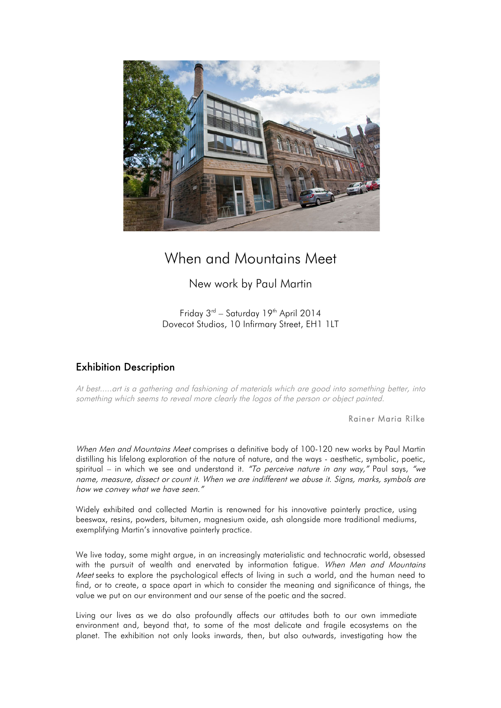

# When and Mountains Meet

New work by Paul Martin

Friday  $3^{rd}$  – Saturday 19<sup>th</sup> April 2014 Dovecot Studios, 10 Infirmary Street, EH1 1LT

# Exhibition Description

At best.....art is a gathering and fashioning of materials which are good into something better, into something which seems to reveal more clearly the logos of the person or object painted.

Rainer Maria Rilke

When Men and Mountains Meet comprises a definitive body of 100-120 new works by Paul Martin distilling his lifelong exploration of the nature of nature, and the ways - aesthetic, symbolic, poetic, spiritual – in which we see and understand it. "To perceive nature in any way," Paul says, "we name, measure, dissect or count it. When we are indifferent we abuse it. Signs, marks, symbols are how we convey what we have seen."

Widely exhibited and collected Martin is renowned for his innovative painterly practice, using beeswax, resins, powders, bitumen, magnesium oxide, ash alongside more traditional mediums, exemplifying Martin's innovative painterly practice.

We live today, some might argue, in an increasingly materialistic and technocratic world, obsessed with the pursuit of wealth and enervated by information fatigue. When Men and Mountains Meet seeks to explore the psychological effects of living in such a world, and the human need to find, or to create, a space apart in which to consider the meaning and significance of things, the value we put on our environment and our sense of the poetic and the sacred.

Living our lives as we do also profoundly affects our attitudes both to our own immediate environment and, beyond that, to some of the most delicate and fragile ecosystems on the planet. The exhibition not only looks inwards, then, but also outwards, investigating how the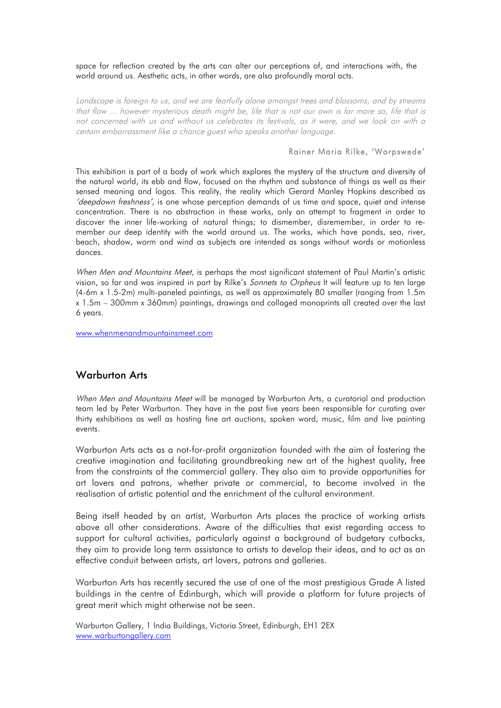space for reflection created by the arts can alter our perceptions of, and interactions with, the world around us. Aesthetic acts, in other words, are also profoundly moral acts.

Landscape is foreign to us, and we are fearfully alone amongst trees and blossoms, and by streams that flow ... however mysterious death might be, life that is not our own is far more so, life that is not concerned with us and without us celebrates its festivals, as it were, and we look on with a certain embarrassment like a chance guest who speaks another language.

#### Rainer Maria Rilke, 'Worpswede'

This exhibition is part of a body of work which explores the mystery of the structure and diversity of the natural world, its ebb and flow, focused on the rhythm and substance of things as well as their sensed meaning and logos. This reality, the reality which Gerard Manley Hopkins described as 'deepdown freshness', is one whose perception demands of us time and space, quiet and intense concentration. There is no abstraction in these works, only an attempt to fragment in order to discover the inner life-working of natural things; to dismember, disremember, in order to remember our deep identity with the world around us. The works, which have ponds, sea, river, beach, shadow, worm and wind as subjects are intended as songs without words or motionless dances.

When Men and Mountains Meet, is perhaps the most significant statement of Paul Martin's artistic vision, so far and was inspired in part by Rilke's *Sonnets to Orpheus* It will feature up to ten large (4-6m x 1.5-2m) multi-paneled paintings, as well as approximately 80 smaller (ranging from 1.5m x 1.5m – 300mm x 360mm) paintings, drawings and collaged monoprints all created over the last 6 years.

www.whenmenandmountainsmeet.com

#### Warburton Arts

When Men and Mountains Meet will be managed by Warburton Arts, a curatorial and production team led by Peter Warburton. They have in the past five years been responsible for curating over thirty exhibitions as well as hosting fine art auctions, spoken word, music, film and live painting events.

Warburton Arts acts as a not-for-profit organization founded with the aim of fostering the creative imagination and facilitating groundbreaking new art of the highest quality, free from the constraints of the commercial gallery. They also aim to provide opportunities for art lovers and patrons, whether private or commercial, to become involved in the realisation of artistic potential and the enrichment of the cultural environment.

Being itself headed by an artist, Warburton Arts places the practice of working artists above all other considerations. Aware of the difficulties that exist regarding access to support for cultural activities, particularly against a background of budgetary cutbacks, they aim to provide long term assistance to artists to develop their ideas, and to act as an effective conduit between artists, art lovers, patrons and galleries.

Warburton Arts has recently secured the use of one of the most prestigious Grade A listed buildings in the centre of Edinburgh, which will provide a platform for future projects of great merit which might otherwise not be seen.

Warburton Gallery, 1 India Buildings, Victoria Street, Edinburgh, EH1 2EX www.warburtongallery.com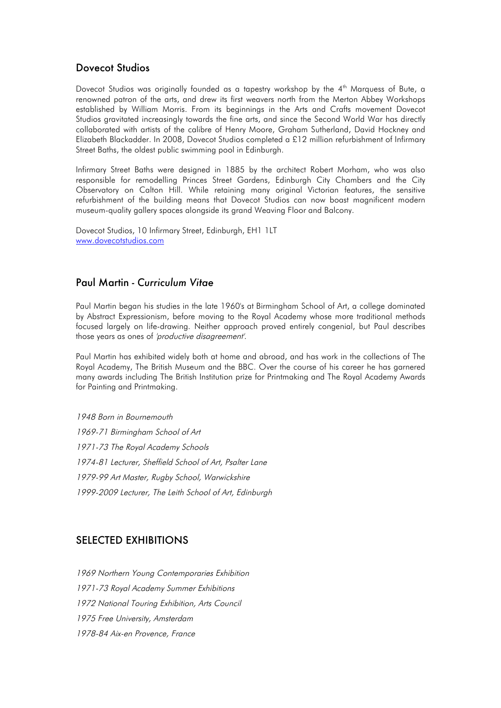### Dovecot Studios

Dovecot Studios was originally founded as a tapestry workshop by the 4<sup>th</sup> Marquess of Bute, a renowned patron of the arts, and drew its first weavers north from the Merton Abbey Workshops established by William Morris. From its beginnings in the Arts and Crafts movement Dovecot Studios gravitated increasingly towards the fine arts, and since the Second World War has directly collaborated with artists of the calibre of Henry Moore, Graham Sutherland, David Hockney and Elizabeth Blackadder. In 2008, Dovecot Studios completed a £12 million refurbishment of Infirmary Street Baths, the oldest public swimming pool in Edinburgh.

Infirmary Street Baths were designed in 1885 by the architect Robert Morham, who was also responsible for remodelling Princes Street Gardens, Edinburgh City Chambers and the City Observatory on Calton Hill. While retaining many original Victorian features, the sensitive refurbishment of the building means that Dovecot Studios can now boast magnificent modern museum-quality gallery spaces alongside its grand Weaving Floor and Balcony.

Dovecot Studios, 10 Infirmary Street, Edinburgh, EH1 1LT www.dovecotstudios.com

### Paul Martin - *Curriculum Vitae*

Paul Martin began his studies in the late 1960's at Birmingham School of Art, a college dominated by Abstract Expressionism, before moving to the Royal Academy whose more traditional methods focused largely on life-drawing. Neither approach proved entirely congenial, but Paul describes those years as ones of 'productive disagreement'.

Paul Martin has exhibited widely both at home and abroad, and has work in the collections of The Royal Academy, The British Museum and the BBC. Over the course of his career he has garnered many awards including The British Institution prize for Printmaking and The Royal Academy Awards for Painting and Printmaking.

1948 Born in Bournemouth 1969-71 Birmingham School of Art 1971-73 The Royal Academy Schools 1974-81 Lecturer, Sheffield School of Art, Psalter Lane 1979-99 Art Master, Rugby School, Warwickshire 1999-2009 Lecturer, The Leith School of Art, Edinburgh

# SELECTED EXHIBITIONS

1969 Northern Young Contemporaries Exhibition

1971-73 Royal Academy Summer Exhibitions

1972 National Touring Exhibition, Arts Council

- 1975 Free University, Amsterdam
- 1978-84 Aix-en Provence, France